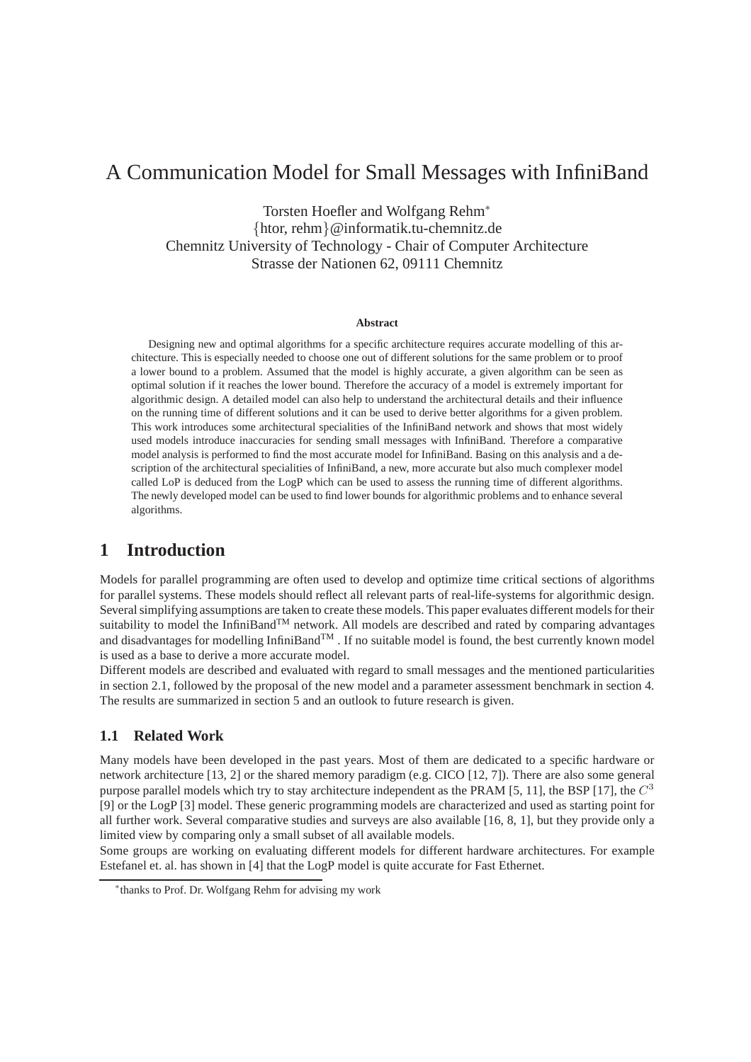# A Communication Model for Small Messages with InfiniBand

Torsten Hoefler and Wolfgang Rehm<sup>∗</sup> {htor, rehm}@informatik.tu-chemnitz.de Chemnitz University of Technology - Chair of Computer Architecture Strasse der Nationen 62, 09111 Chemnitz

#### **Abstract**

Designing new and optimal algorithms for a specific architecture requires accurate modelling of this architecture. This is especially needed to choose one out of different solutions for the same problem or to proof a lower bound to a problem. Assumed that the model is highly accurate, a given algorithm can be seen as optimal solution if it reaches the lower bound. Therefore the accuracy of a model is extremely important for algorithmic design. A detailed model can also help to understand the architectural details and their influence on the running time of different solutions and it can be used to derive better algorithms for a given problem. This work introduces some architectural specialities of the InfiniBand network and shows that most widely used models introduce inaccuracies for sending small messages with InfiniBand. Therefore a comparative model analysis is performed to find the most accurate model for InfiniBand. Basing on this analysis and a description of the architectural specialities of InfiniBand, a new, more accurate but also much complexer model called LoP is deduced from the LogP which can be used to assess the running time of different algorithms. The newly developed model can be used to find lower bounds for algorithmic problems and to enhance several algorithms.

## **1 Introduction**

Models for parallel programming are often used to develop and optimize time critical sections of algorithms for parallel systems. These models should reflect all relevant parts of real-life-systems for algorithmic design. Several simplifying assumptions are taken to create these models. This paper evaluates different models for their suitability to model the InfiniBand<sup>TM</sup> network. All models are described and rated by comparing advantages and disadvantages for modelling InfiniBand<sup>TM</sup>. If no suitable model is found, the best currently known model is used as a base to derive a more accurate model.

Different models are described and evaluated with regard to small messages and the mentioned particularities in section [2.1,](#page-1-0) followed by the proposal of the new model and a parameter assessment benchmark in section [4.](#page-4-0) The results are summarized in section [5](#page-8-0) and an outlook to future research is given.

### **1.1 Related Work**

Many models have been developed in the past years. Most of them are dedicated to a specific hardware or network architecture [\[13,](#page-9-0) [2\]](#page-9-1) or the shared memory paradigm (e.g. CICO [\[12,](#page-9-2) [7\]](#page-9-3)). There are also some general purpose parallel models which try to stay architecture independent as the PRAM [\[5,](#page-9-4) [11\]](#page-9-5), the BSP [\[17\]](#page-9-6), the  $C^3$ [\[9\]](#page-9-7) or the LogP [\[3\]](#page-9-8) model. These generic programming models are characterized and used as starting point for all further work. Several comparative studies and surveys are also available [\[16,](#page-9-9) [8,](#page-9-10) [1\]](#page-9-11), but they provide only a limited view by comparing only a small subset of all available models.

Some groups are working on evaluating different models for different hardware architectures. For example Estefanel et. al. has shown in [\[4\]](#page-9-12) that the LogP model is quite accurate for Fast Ethernet.

<sup>∗</sup> thanks to Prof. Dr. Wolfgang Rehm for advising my work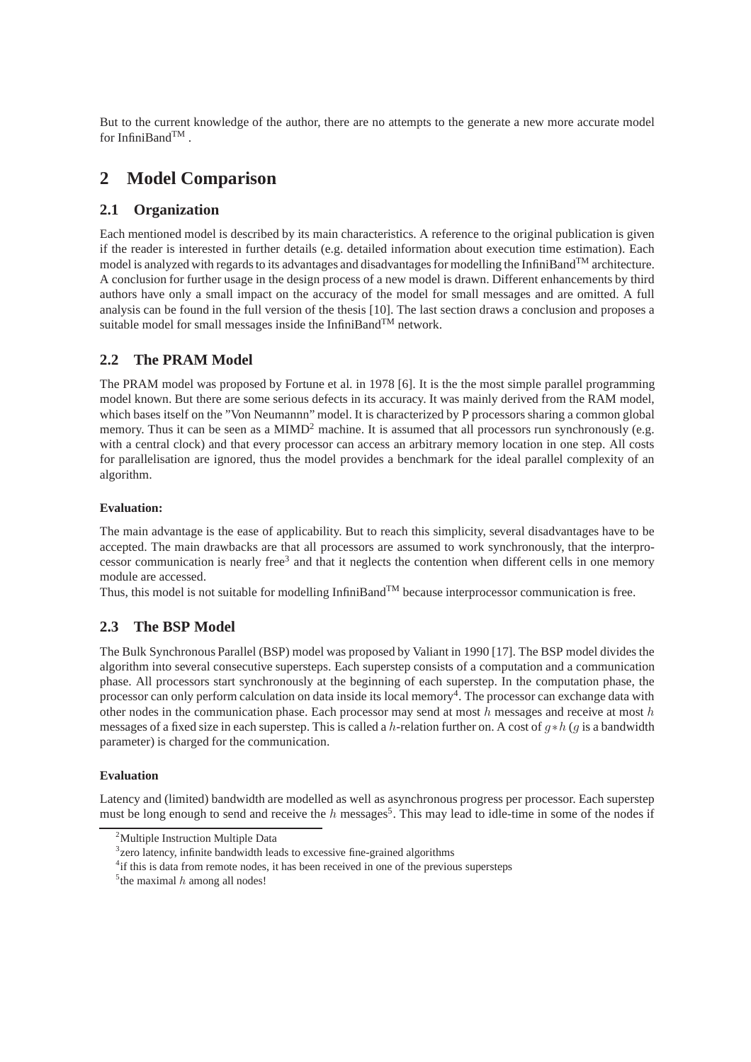But to the current knowledge of the author, there are no attempts to the generate a new more accurate model for InfiniBand $^{TM}$ .

## **2 Model Comparison**

## <span id="page-1-0"></span>**2.1 Organization**

Each mentioned model is described by its main characteristics. A reference to the original publication is given if the reader is interested in further details (e.g. detailed information about execution time estimation). Each model is analyzed with regards to its advantages and disadvantages for modelling the InfiniBand<sup>TM</sup> architecture. A conclusion for further usage in the design process of a new model is drawn. Different enhancements by third authors have only a small impact on the accuracy of the model for small messages and are omitted. A full analysis can be found in the full version of the thesis [\[10\]](#page-9-13). The last section draws a conclusion and proposes a suitable model for small messages inside the InfiniBand<sup>TM</sup> network.

## <span id="page-1-5"></span>**2.2 The PRAM Model**

The PRAM model was proposed by Fortune et al. in 1978 [\[6\]](#page-9-14). It is the the most simple parallel programming model known. But there are some serious defects in its accuracy. It was mainly derived from the RAM model, which bases itself on the "Von Neumannn" model. It is characterized by P processors sharing a common global memory. Thus it can be seen as a  $MIMD<sup>2</sup>$  $MIMD<sup>2</sup>$  $MIMD<sup>2</sup>$  machine. It is assumed that all processors run synchronously (e.g. with a central clock) and that every processor can access an arbitrary memory location in one step. All costs for parallelisation are ignored, thus the model provides a benchmark for the ideal parallel complexity of an algorithm.

### **Evaluation:**

The main advantage is the ease of applicability. But to reach this simplicity, several disadvantages have to be accepted. The main drawbacks are that all processors are assumed to work synchronously, that the interpro-cessor communication is nearly free<sup>[3](#page-1-2)</sup> and that it neglects the contention when different cells in one memory module are accessed.

Thus, this model is not suitable for modelling InfiniBand<sup>TM</sup> because interprocessor communication is free.

## **2.3 The BSP Model**

The Bulk Synchronous Parallel (BSP) model was proposed by Valiant in 1990 [\[17\]](#page-9-6). The BSP model divides the algorithm into several consecutive supersteps. Each superstep consists of a computation and a communication phase. All processors start synchronously at the beginning of each superstep. In the computation phase, the processor can only perform calculation on data inside its local memory<sup>[4](#page-1-3)</sup>. The processor can exchange data with other nodes in the communication phase. Each processor may send at most  $h$  messages and receive at most  $h$ messages of a fixed size in each superstep. This is called a h-relation further on. A cost of  $g*h$  (q is a bandwidth parameter) is charged for the communication.

### **Evaluation**

<span id="page-1-1"></span>Latency and (limited) bandwidth are modelled as well as asynchronous progress per processor. Each superstep must be long enough to send and receive the  $h$  messages<sup>[5](#page-1-4)</sup>. This may lead to idle-time in some of the nodes if

<span id="page-1-2"></span><sup>&</sup>lt;sup>2</sup>Multiple Instruction Multiple Data

<sup>&</sup>lt;sup>3</sup> zero latency, infinite bandwidth leads to excessive fine-grained algorithms

<span id="page-1-3"></span><sup>&</sup>lt;sup>4</sup> if this is data from remote nodes, it has been received in one of the previous supersteps

<span id="page-1-4"></span><sup>&</sup>lt;sup>5</sup> the maximal  $h$  among all nodes!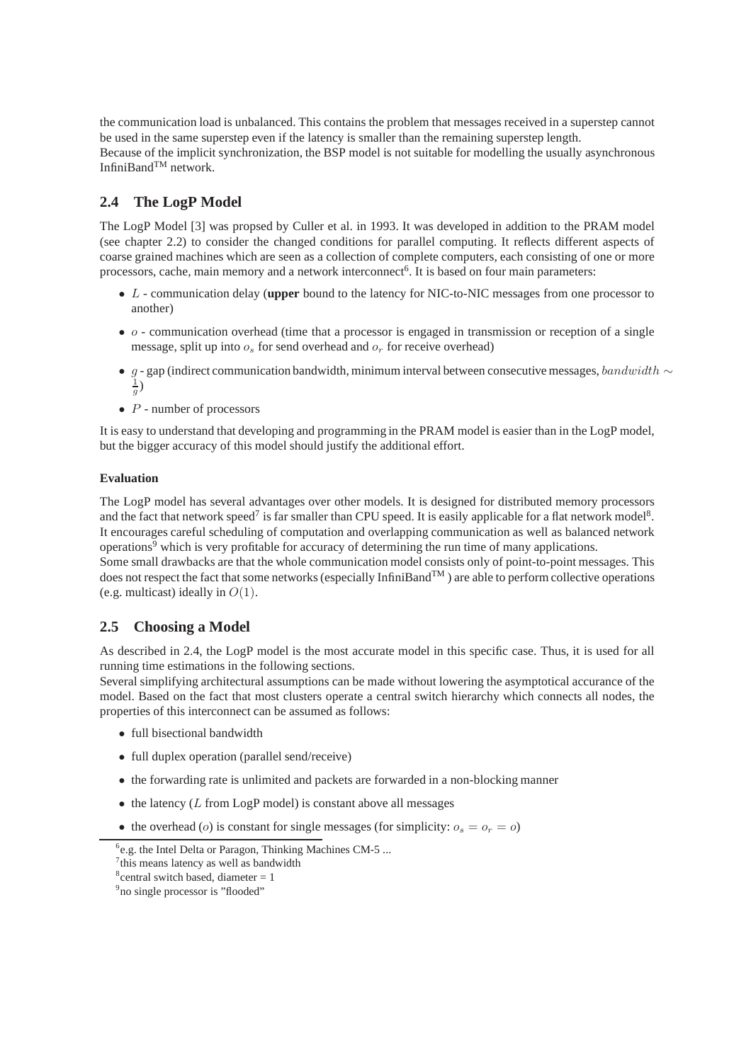the communication load is unbalanced. This contains the problem that messages received in a superstep cannot be used in the same superstep even if the latency is smaller than the remaining superstep length. Because of the implicit synchronization, the BSP model is not suitable for modelling the usually asynchronous InfiniBandTM network.

## <span id="page-2-4"></span>**2.4 The LogP Model**

The LogP Model [\[3\]](#page-9-8) was propsed by Culler et al. in 1993. It was developed in addition to the PRAM model (see chapter [2.2\)](#page-1-5) to consider the changed conditions for parallel computing. It reflects different aspects of coarse grained machines which are seen as a collection of complete computers, each consisting of one or more processors, cache, main memory and a network interconnect<sup>[6](#page-2-0)</sup>. It is based on four main parameters:

- L communication delay (**upper** bound to the latency for NIC-to-NIC messages from one processor to another)
- $\bullet$  o communication overhead (time that a processor is engaged in transmission or reception of a single message, split up into  $o_s$  for send overhead and  $o_r$  for receive overhead)
- g gap (indirect communication bandwidth, minimum interval between consecutive messages, bandwidth  $\sim$  $\frac{1}{g})$
- $P$  number of processors

It is easy to understand that developing and programming in the PRAM model is easier than in the LogP model, but the bigger accuracy of this model should justify the additional effort.

### **Evaluation**

The LogP model has several advantages over other models. It is designed for distributed memory processors and the fact that network speed<sup>[7](#page-2-1)</sup> is far smaller than CPU speed. It is easily applicable for a flat network model<sup>[8](#page-2-2)</sup>. It encourages careful scheduling of computation and overlapping communication as well as balanced network operations<sup>[9](#page-2-3)</sup> which is very profitable for accuracy of determining the run time of many applications.

Some small drawbacks are that the whole communication model consists only of point-to-point messages. This does not respect the fact that some networks (especially InfiniBand<sup>TM</sup>) are able to perform collective operations (e.g. multicast) ideally in  $O(1)$ .

## **2.5 Choosing a Model**

As described in [2.4,](#page-2-4) the LogP model is the most accurate model in this specific case. Thus, it is used for all running time estimations in the following sections.

Several simplifying architectural assumptions can be made without lowering the asymptotical accurance of the model. Based on the fact that most clusters operate a central switch hierarchy which connects all nodes, the properties of this interconnect can be assumed as follows:

- full bisectional bandwidth
- full duplex operation (parallel send/receive)
- the forwarding rate is unlimited and packets are forwarded in a non-blocking manner
- $\bullet$  the latency (L from LogP model) is constant above all messages
- the overhead (*o*) is constant for single messages (for simplicity:  $o_s = o_r = o$ )

<span id="page-2-1"></span><span id="page-2-0"></span><sup>&</sup>lt;sup>6</sup>e.g. the Intel Delta or Paragon, Thinking Machines CM-5 ...

<sup>&</sup>lt;sup>7</sup>this means latency as well as bandwidth

<span id="page-2-2"></span> $8$ central switch based, diameter = 1

<span id="page-2-3"></span><sup>&</sup>lt;sup>9</sup> no single processor is "flooded"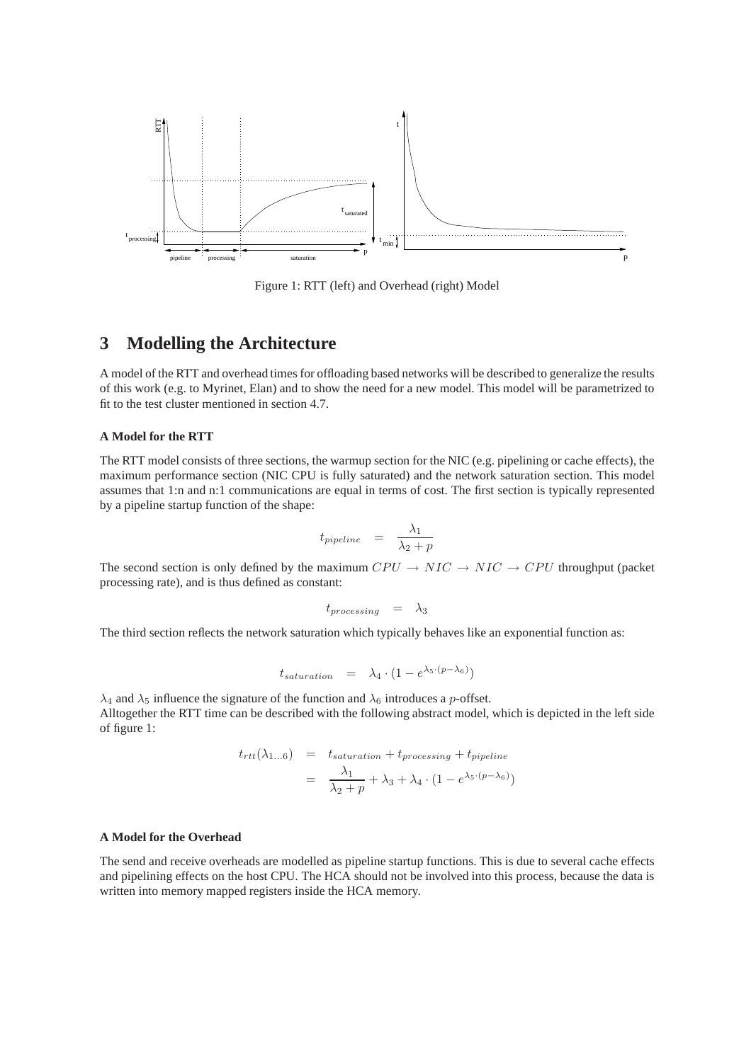

<span id="page-3-0"></span>Figure 1: RTT (left) and Overhead (right) Model

## **3 Modelling the Architecture**

A model of the RTT and overhead times for offloading based networks will be described to generalize the results of this work (e.g. to Myrinet, Elan) and to show the need for a new model. This model will be parametrized to fit to the test cluster mentioned in section [4.7.](#page-6-0)

### <span id="page-3-1"></span>**A Model for the RTT**

The RTT model consists of three sections, the warmup section for the NIC (e.g. pipelining or cache effects), the maximum performance section (NIC CPU is fully saturated) and the network saturation section. This model assumes that 1:n and n:1 communications are equal in terms of cost. The first section is typically represented by a pipeline startup function of the shape:

$$
t_{pipeline} = \frac{\lambda_1}{\lambda_2 + p}
$$

The second section is only defined by the maximum  $CPU \rightarrow NIC \rightarrow NIC \rightarrow CPU$  throughput (packet processing rate), and is thus defined as constant:

$$
t_{processing} = \lambda_3
$$

The third section reflects the network saturation which typically behaves like an exponential function as:

$$
t_{saturation} = \lambda_4 \cdot (1 - e^{\lambda_5 \cdot (p - \lambda_6)})
$$

 $\lambda_4$  and  $\lambda_5$  influence the signature of the function and  $\lambda_6$  introduces a p-offset. Alltogether the RTT time can be described with the following abstract model, which is depicted in the left side of figure [1:](#page-3-0)

$$
t_{rtt}(\lambda_{1...6}) = t_{saturation} + t_{processing} + t_{pipeline}
$$
  
= 
$$
\frac{\lambda_1}{\lambda_2 + p} + \lambda_3 + \lambda_4 \cdot (1 - e^{\lambda_5 \cdot (p - \lambda_6)})
$$

#### **A Model for the Overhead**

The send and receive overheads are modelled as pipeline startup functions. This is due to several cache effects and pipelining effects on the host CPU. The HCA should not be involved into this process, because the data is written into memory mapped registers inside the HCA memory.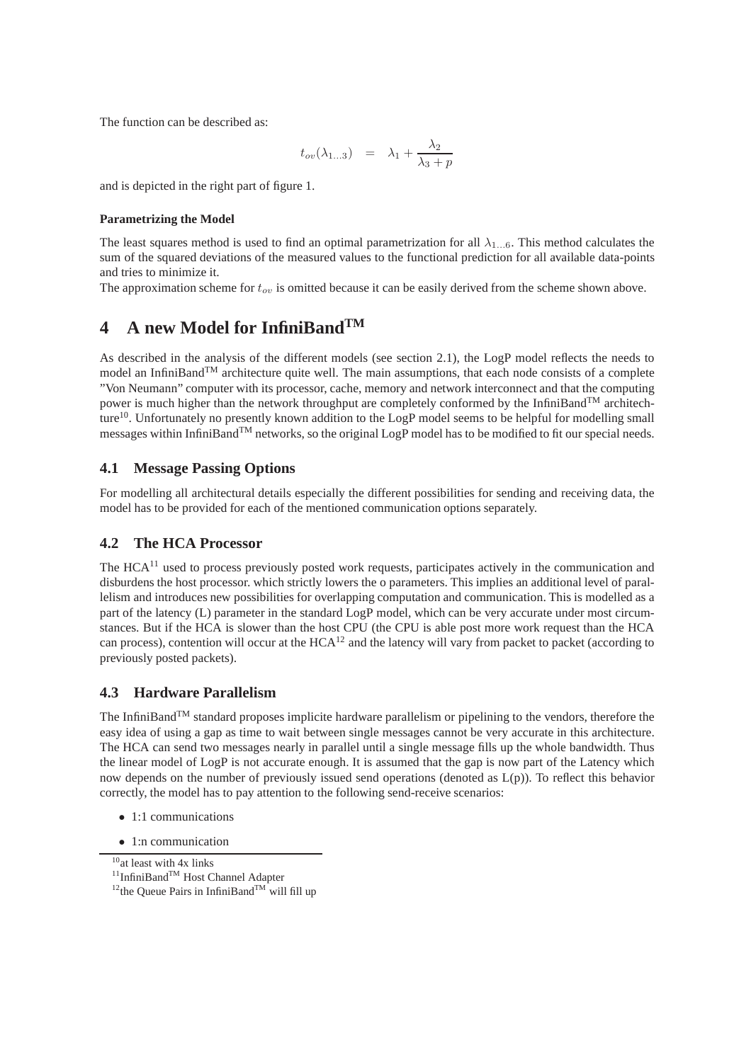The function can be described as:

$$
t_{ov}(\lambda_{1...3}) = \lambda_1 + \frac{\lambda_2}{\lambda_3 + p}
$$

and is depicted in the right part of figure [1.](#page-3-0)

### **Parametrizing the Model**

The least squares method is used to find an optimal parametrization for all  $\lambda_{1...6}$ . This method calculates the sum of the squared deviations of the measured values to the functional prediction for all available data-points and tries to minimize it.

The approximation scheme for  $t_{ov}$  is omitted because it can be easily derived from the scheme shown above.

## <span id="page-4-0"></span>**4 A new Model for InfiniBandTM**

As described in the analysis of the different models (see section [2.1\)](#page-1-0), the LogP model reflects the needs to model an InfiniBand<sup>TM</sup> architecture quite well. The main assumptions, that each node consists of a complete "Von Neumann" computer with its processor, cache, memory and network interconnect and that the computing power is much higher than the network throughput are completely conformed by the InfiniBand<sup>TM</sup> architech-ture<sup>[10](#page-4-1)</sup>. Unfortunately no presently known addition to the LogP model seems to be helpful for modelling small messages within InfiniBandTM networks, so the original LogP model has to be modified to fit our special needs.

### **4.1 Message Passing Options**

For modelling all architectural details especially the different possibilities for sending and receiving data, the model has to be provided for each of the mentioned communication options separately.

### **4.2 The HCA Processor**

The HCA<sup>[11](#page-4-2)</sup> used to process previously posted work requests, participates actively in the communication and disburdens the host processor. which strictly lowers the o parameters. This implies an additional level of parallelism and introduces new possibilities for overlapping computation and communication. This is modelled as a part of the latency (L) parameter in the standard LogP model, which can be very accurate under most circumstances. But if the HCA is slower than the host CPU (the CPU is able post more work request than the HCA can process), contention will occur at the HCA[12](#page-4-3) and the latency will vary from packet to packet (according to previously posted packets).

### **4.3 Hardware Parallelism**

The InfiniBandTM standard proposes implicite hardware parallelism or pipelining to the vendors, therefore the easy idea of using a gap as time to wait between single messages cannot be very accurate in this architecture. The HCA can send two messages nearly in parallel until a single message fills up the whole bandwidth. Thus the linear model of LogP is not accurate enough. It is assumed that the gap is now part of the Latency which now depends on the number of previously issued send operations (denoted as L(p)). To reflect this behavior correctly, the model has to pay attention to the following send-receive scenarios:

- 1:1 communications
- 1:n communication

<span id="page-4-1"></span><sup>&</sup>lt;sup>10</sup>at least with 4x links

<span id="page-4-2"></span><sup>&</sup>lt;sup>11</sup>InfiniBand<sup>™</sup> Host Channel Adapter

<span id="page-4-3"></span><sup>&</sup>lt;sup>12</sup>the Queue Pairs in InfiniBand<sup>TM</sup> will fill up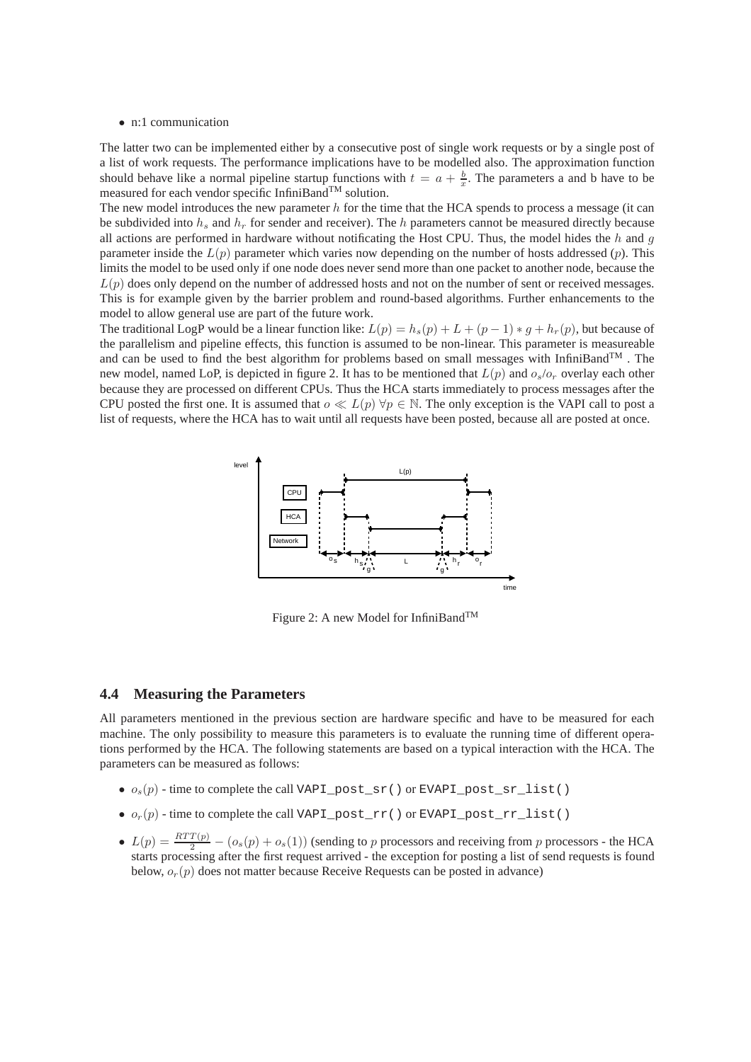#### • n:1 communication

The latter two can be implemented either by a consecutive post of single work requests or by a single post of a list of work requests. The performance implications have to be modelled also. The approximation function should behave like a normal pipeline startup functions with  $t = a + \frac{b}{x}$ . The parameters a and b have to be measured for each vendor specific InfiniBand<sup>TM</sup> solution.

The new model introduces the new parameter  $h$  for the time that the HCA spends to process a message (it can be subdivided into  $h_s$  and  $h_r$  for sender and receiver). The h parameters cannot be measured directly because all actions are performed in hardware without notificating the Host CPU. Thus, the model hides the  $h$  and  $g$ parameter inside the  $L(p)$  parameter which varies now depending on the number of hosts addressed  $(p)$ . This limits the model to be used only if one node does never send more than one packet to another node, because the  $L(p)$  does only depend on the number of addressed hosts and not on the number of sent or received messages. This is for example given by the barrier problem and round-based algorithms. Further enhancements to the model to allow general use are part of the future work.

The traditional LogP would be a linear function like:  $L(p) = h_s(p) + L + (p - 1) * q + h_r(p)$ , but because of the parallelism and pipeline effects, this function is assumed to be non-linear. This parameter is measureable and can be used to find the best algorithm for problems based on small messages with InfiniBand<sup>TM</sup>. The new model, named LoP, is depicted in figure [2.](#page-5-0) It has to be mentioned that  $L(p)$  and  $o_s/o_r$  overlay each other because they are processed on different CPUs. Thus the HCA starts immediately to process messages after the CPU posted the first one. It is assumed that  $o \ll L(p) \forall p \in \mathbb{N}$ . The only exception is the VAPI call to post a list of requests, where the HCA has to wait until all requests have been posted, because all are posted at once.



<span id="page-5-0"></span>Figure 2: A new Model for InfiniBand<sup>TM</sup>

#### <span id="page-5-1"></span>**4.4 Measuring the Parameters**

All parameters mentioned in the previous section are hardware specific and have to be measured for each machine. The only possibility to measure this parameters is to evaluate the running time of different operations performed by the HCA. The following statements are based on a typical interaction with the HCA. The parameters can be measured as follows:

- $o_s(p)$  time to complete the call VAPI\_post\_sr() or EVAPI\_post\_sr\_list()
- $o_r(p)$  time to complete the call VAPI\_post\_rr() or EVAPI\_post\_rr\_list()
- $L(p) = \frac{RTT(p)}{2} (o_s(p) + o_s(1))$  (sending to p processors and receiving from p processors the HCA starts processing after the first request arrived - the exception for posting a list of send requests is found below,  $o_r(p)$  does not matter because Receive Requests can be posted in advance)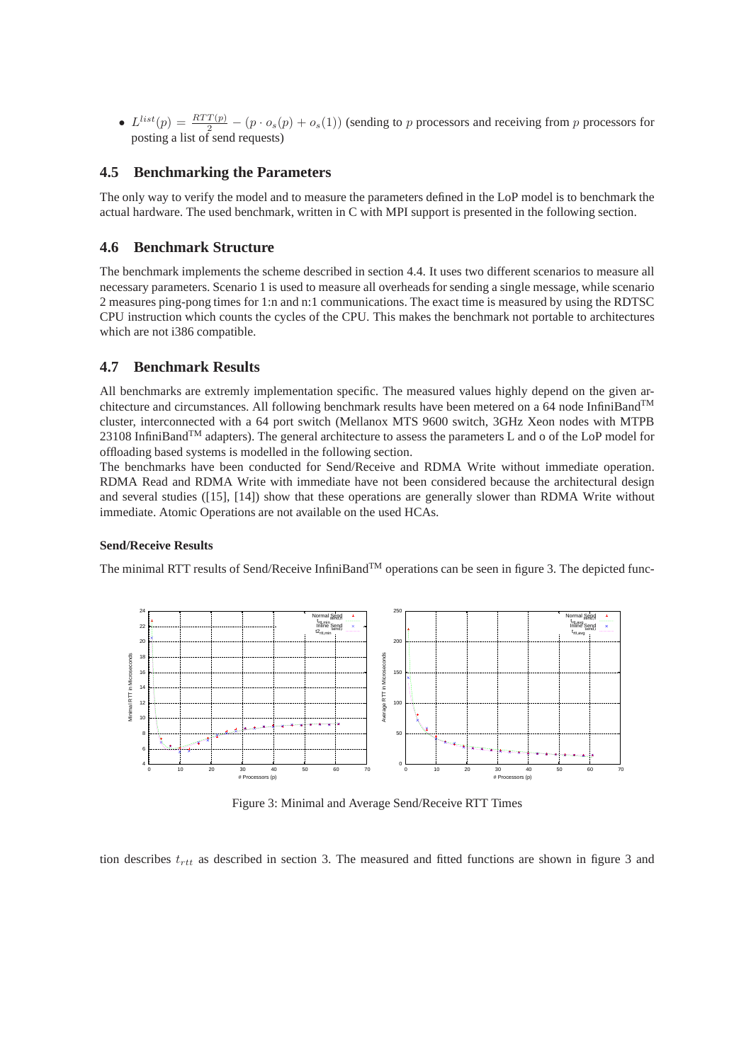•  $L^{list}(p) = \frac{RTT(p)}{2} - (p \cdot o_s(p) + o_s(1))$  (sending to p processors and receiving from p processors for posting a list of send requests)

### **4.5 Benchmarking the Parameters**

The only way to verify the model and to measure the parameters defined in the LoP model is to benchmark the actual hardware. The used benchmark, written in C with MPI support is presented in the following section.

### **4.6 Benchmark Structure**

The benchmark implements the scheme described in section [4.4.](#page-5-1) It uses two different scenarios to measure all necessary parameters. Scenario 1 is used to measure all overheads for sending a single message, while scenario 2 measures ping-pong times for 1:n and n:1 communications. The exact time is measured by using the RDTSC CPU instruction which counts the cycles of the CPU. This makes the benchmark not portable to architectures which are not i386 compatible.

### <span id="page-6-0"></span>**4.7 Benchmark Results**

All benchmarks are extremly implementation specific. The measured values highly depend on the given architecture and circumstances. All following benchmark results have been metered on a 64 node InfiniBandTM cluster, interconnected with a 64 port switch (Mellanox MTS 9600 switch, 3GHz Xeon nodes with MTPB  $23108$  InfiniBand<sup>TM</sup> adapters). The general architecture to assess the parameters L and o of the LoP model for offloading based systems is modelled in the following section.

The benchmarks have been conducted for Send/Receive and RDMA Write without immediate operation. RDMA Read and RDMA Write with immediate have not been considered because the architectural design and several studies ([\[15\]](#page-9-15), [\[14\]](#page-9-16)) show that these operations are generally slower than RDMA Write without immediate. Atomic Operations are not available on the used HCAs.

### **Send/Receive Results**

The minimal RTT results of Send/Receive InfiniBand<sup>TM</sup> operations can be seen in figure [3.](#page-6-1) The depicted func-



<span id="page-6-1"></span>Figure 3: Minimal and Average Send/Receive RTT Times

tion describes  $t_{rtt}$  as described in section [3.](#page-3-1) The measured and fitted functions are shown in figure [3](#page-6-1) and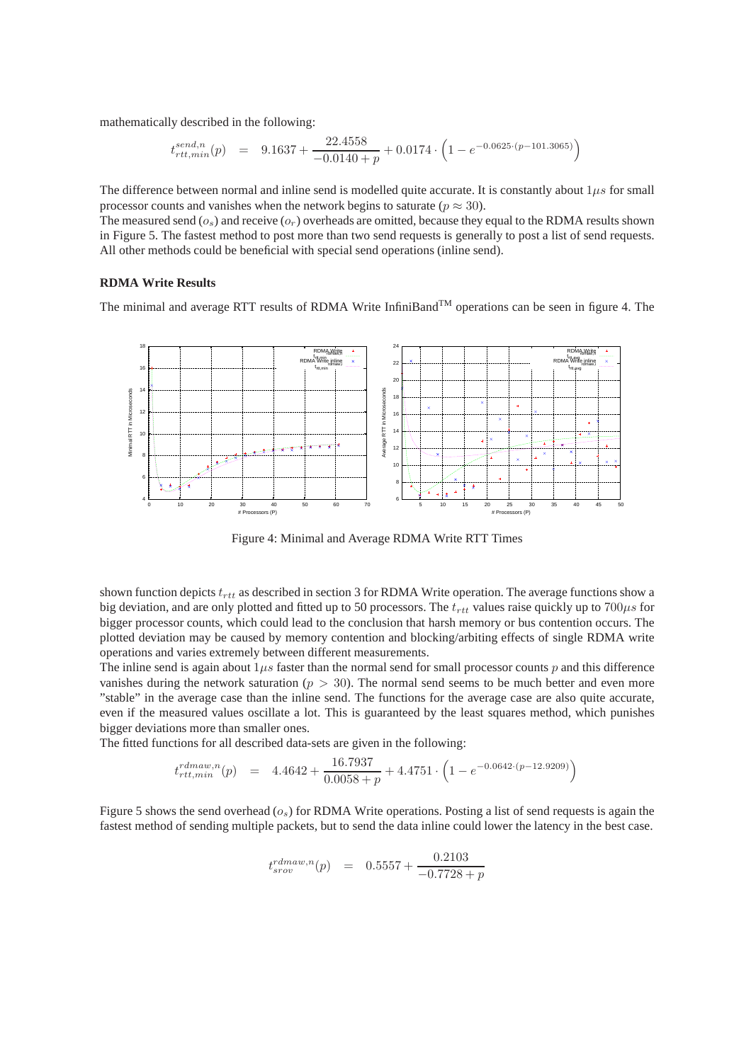mathematically described in the following:

$$
t^{send,n}_{rtt,min}(p) \quad = \quad 9.1637 + \frac{22.4558}{-0.0140 + p} + 0.0174 \cdot \left(1 - e^{-0.0625 \cdot (p - 101.3065)}\right)
$$

The difference between normal and inline send is modelled quite accurate. It is constantly about  $1\mu s$  for small processor counts and vanishes when the network begins to saturate ( $p \approx 30$ ).

The measured send  $(o_s)$  and receive  $(o_r)$  overheads are omitted, because they equal to the RDMA results shown in Figure [5.](#page-8-1) The fastest method to post more than two send requests is generally to post a list of send requests. All other methods could be beneficial with special send operations (inline send).

#### **RDMA Write Results**

The minimal and average RTT results of RDMA Write InfiniBand<sup>TM</sup> operations can be seen in figure [4.](#page-7-0) The



<span id="page-7-0"></span>Figure 4: Minimal and Average RDMA Write RTT Times

shown function depicts  $t_{rtt}$  as described in section [3](#page-3-1) for RDMA Write operation. The average functions show a big deviation, and are only plotted and fitted up to 50 processors. The  $t_{rtt}$  values raise quickly up to 700 $\mu s$  for bigger processor counts, which could lead to the conclusion that harsh memory or bus contention occurs. The plotted deviation may be caused by memory contention and blocking/arbiting effects of single RDMA write operations and varies extremely between different measurements.

The inline send is again about  $1\mu s$  faster than the normal send for small processor counts p and this difference vanishes during the network saturation ( $p > 30$ ). The normal send seems to be much better and even more "stable" in the average case than the inline send. The functions for the average case are also quite accurate, even if the measured values oscillate a lot. This is guaranteed by the least squares method, which punishes bigger deviations more than smaller ones.

The fitted functions for all described data-sets are given in the following:

$$
t_{rtt,min}^{rdmaw,n}(p) = 4.4642 + \frac{16.7937}{0.0058 + p} + 4.4751 \cdot \left(1 - e^{-0.0642 \cdot (p - 12.9209)}\right)
$$

Figure [5](#page-8-1) shows the send overhead  $(o_s)$  for RDMA Write operations. Posting a list of send requests is again the fastest method of sending multiple packets, but to send the data inline could lower the latency in the best case.

$$
t_{srov}^{rdmaw,n}(p) = 0.5557 + \frac{0.2103}{-0.7728 + p}
$$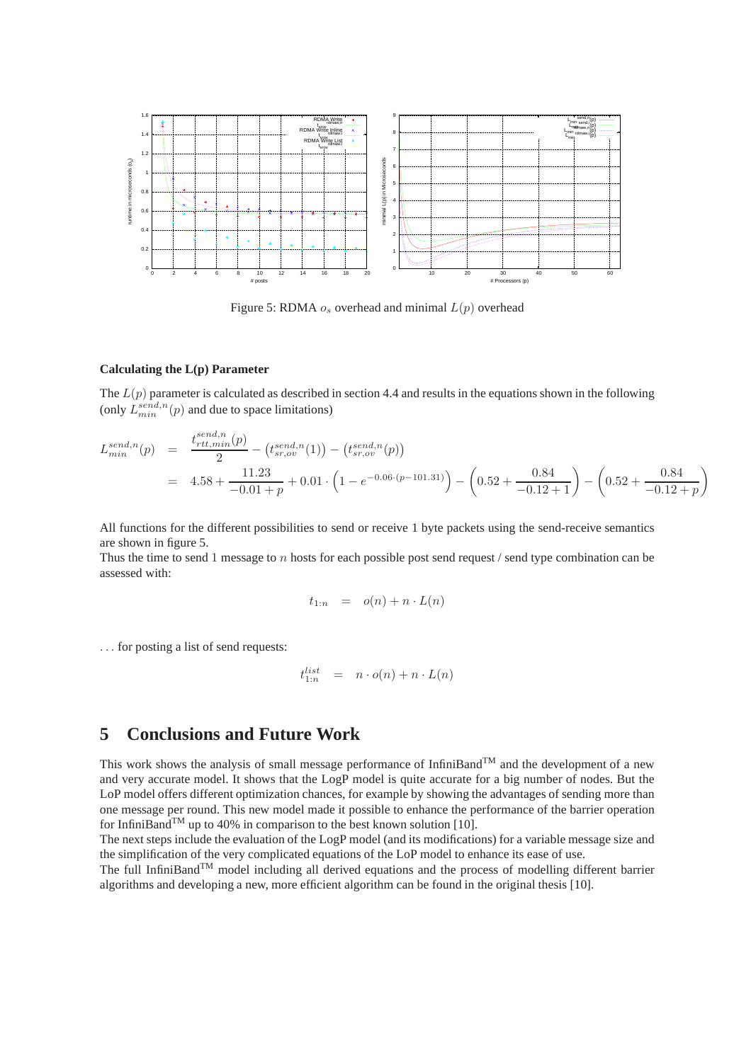

<span id="page-8-1"></span>Figure 5: RDMA  $o_s$  overhead and minimal  $L(p)$  overhead

#### **Calculating the L(p) Parameter**

The  $L(p)$  parameter is calculated as described in section [4.4](#page-5-1) and results in the equations shown in the following (only  $L_{min}^{send,n}(p)$  and due to space limitations)

$$
L_{min}^{send,n}(p) = \frac{t_{rtt,min}^{send,n}(p)}{2} - (t_{sr,ov}^{send,n}(1)) - (t_{sr,ov}^{send,n}(p))
$$
  
= 4.58 +  $\frac{11.23}{-0.01 + p} + 0.01 \cdot (1 - e^{-0.06 \cdot (p - 101.31)}) - (0.52 + \frac{0.84}{-0.12 + 1}) - (0.52 + \frac{0.84}{-0.12 + p})$ 

All functions for the different possibilities to send or receive 1 byte packets using the send-receive semantics are shown in figure [5.](#page-8-1)

Thus the time to send 1 message to n hosts for each possible post send request  $/$  send type combination can be assessed with:

$$
t_{1:n} = o(n) + n \cdot L(n)
$$

. . . for posting a list of send requests:

$$
t_{1:n}^{list} \quad = \quad n \cdot o(n) + n \cdot L(n)
$$

## <span id="page-8-0"></span>**5 Conclusions and Future Work**

This work shows the analysis of small message performance of InfiniBand<sup>TM</sup> and the development of a new and very accurate model. It shows that the LogP model is quite accurate for a big number of nodes. But the LoP model offers different optimization chances, for example by showing the advantages of sending more than one message per round. This new model made it possible to enhance the performance of the barrier operation for InfiniBand<sup>TM</sup> up to 40% in comparison to the best known solution [\[10\]](#page-9-13).

The next steps include the evaluation of the LogP model (and its modifications) for a variable message size and the simplification of the very complicated equations of the LoP model to enhance its ease of use.

The full InfiniBand<sup>TM</sup> model including all derived equations and the process of modelling different barrier algorithms and developing a new, more efficient algorithm can be found in the original thesis [\[10\]](#page-9-13).